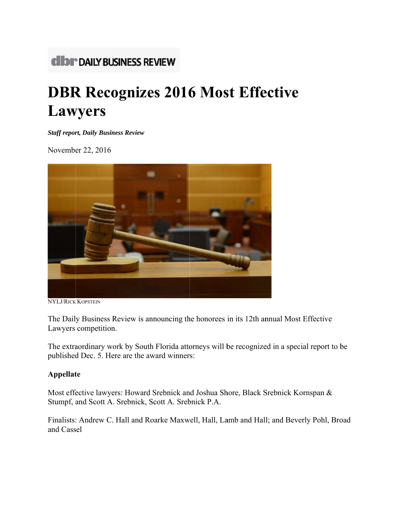# **CIDI \*\* DAILY BUSINESS REVIEW**

# **DBR Recognizes 2016 Most Effective Lawyers**

**Staff report, Daily Business Review** 

November 22, 2016



NYLJ/RICK KOPSTEIN

The Daily Business Review is announcing the honorees in its 12th annual Most Effective Lawyers competition.

The extraordinary work by South Florida attorneys will be recognized in a special report to be published Dec. 5. Here are the award winners:

# **Appellate**

Most effective lawyers: Howard Srebnick and Joshua Shore, Black Srebnick Kornspan & Stumpf, and Scott A. Srebnick, Scott A. Srebnick P.A.

Finalists: Andrew C. Hall and Roarke Maxwell, Hall, Lamb and Hall; and Beverly Pohl, Broad and Cassel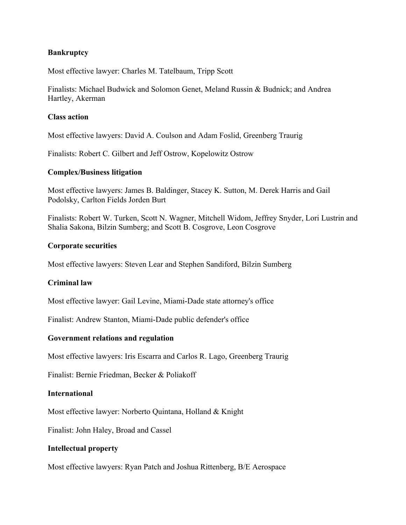# **Bankruptcy**

Most effective lawyer: Charles M. Tatelbaum, Tripp Scott

Finalists: Michael Budwick and Solomon Genet, Meland Russin & Budnick; and Andrea Hartley, Akerman

### **Class action**

Most effective lawyers: David A. Coulson and Adam Foslid, Greenberg Traurig

Finalists: Robert C. Gilbert and Jeff Ostrow, Kopelowitz Ostrow

# **Complex/Business litigation**

Most effective lawyers: James B. Baldinger, Stacey K. Sutton, M. Derek Harris and Gail Podolsky, Carlton Fields Jorden Burt

Finalists: Robert W. Turken, Scott N. Wagner, Mitchell Widom, Jeffrey Snyder, Lori Lustrin and Shalia Sakona, Bilzin Sumberg; and Scott B. Cosgrove, Leon Cosgrove

# **Corporate securities**

Most effective lawyers: Steven Lear and Stephen Sandiford, Bilzin Sumberg

# **Criminal law**

Most effective lawyer: Gail Levine, Miami-Dade state attorney's office

Finalist: Andrew Stanton, Miami-Dade public defender's office

# **Government relations and regulation**

Most effective lawyers: Iris Escarra and Carlos R. Lago, Greenberg Traurig

Finalist: Bernie Friedman, Becker & Poliakoff

#### **International**

Most effective lawyer: Norberto Quintana, Holland & Knight

Finalist: John Haley, Broad and Cassel

# **Intellectual property**

Most effective lawyers: Ryan Patch and Joshua Rittenberg, B/E Aerospace